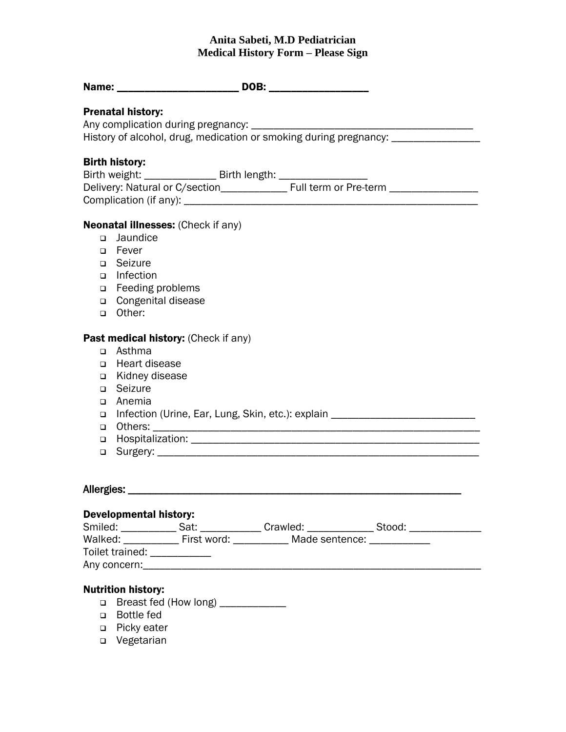## **Anita Sabeti, M.D Pediatrician Medical History Form – Please Sign**

| <b>Prenatal history:</b>                                                                            |  |  |  |  |
|-----------------------------------------------------------------------------------------------------|--|--|--|--|
| Any complication during pregnancy: __________________                                               |  |  |  |  |
| History of alcohol, drug, medication or smoking during pregnancy: ______________                    |  |  |  |  |
|                                                                                                     |  |  |  |  |
| <b>Birth history:</b>                                                                               |  |  |  |  |
| Birth weight: ___________________ Birth length: _____________________                               |  |  |  |  |
|                                                                                                     |  |  |  |  |
|                                                                                                     |  |  |  |  |
| <b>Neonatal illnesses:</b> (Check if any)                                                           |  |  |  |  |
| Jaundice<br>$\Box$                                                                                  |  |  |  |  |
| □ Fever                                                                                             |  |  |  |  |
| □ Seizure                                                                                           |  |  |  |  |
| Infection<br>$\Box$                                                                                 |  |  |  |  |
| □ Feeding problems                                                                                  |  |  |  |  |
| □ Congenital disease                                                                                |  |  |  |  |
| □ Other:                                                                                            |  |  |  |  |
|                                                                                                     |  |  |  |  |
| Past medical history: (Check if any)<br>Asthma                                                      |  |  |  |  |
| $\Box$<br>Heart disease<br>$\Box$                                                                   |  |  |  |  |
| Kidney disease<br>$\Box$                                                                            |  |  |  |  |
| Seizure<br>$\Box$                                                                                   |  |  |  |  |
| Anemia<br>$\Box$                                                                                    |  |  |  |  |
| Infection (Urine, Ear, Lung, Skin, etc.): explain ______________________________<br>$\Box$          |  |  |  |  |
| $\Box$                                                                                              |  |  |  |  |
| $\Box$                                                                                              |  |  |  |  |
| $\Box$                                                                                              |  |  |  |  |
|                                                                                                     |  |  |  |  |
|                                                                                                     |  |  |  |  |
| Allergies: ______                                                                                   |  |  |  |  |
| <b>Developmental history:</b>                                                                       |  |  |  |  |
| Smiled: ______________ Sat: _______________ Crawled: _________________ Stood: _____________________ |  |  |  |  |
| Walked: _____________ First word: ____________ Made sentence: _____________                         |  |  |  |  |
| Toilet trained: ____________                                                                        |  |  |  |  |
|                                                                                                     |  |  |  |  |
|                                                                                                     |  |  |  |  |
| <b>Nutrition history:</b>                                                                           |  |  |  |  |
| Breast fed (How long) ___________<br>$\Box$<br><b>Bottle fed</b><br>$\Box$                          |  |  |  |  |
| □ Picky eater                                                                                       |  |  |  |  |

□ Vegetarian